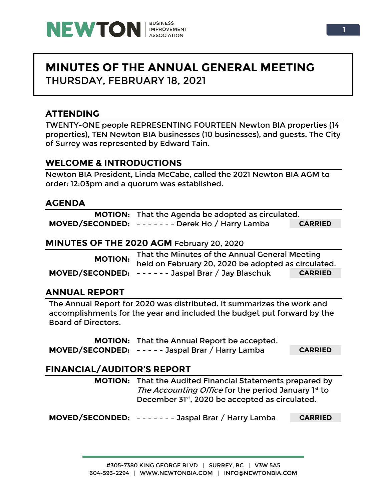

# **MINUTES OF THE ANNUAL GENERAL MEETING** THURSDAY, FEBRUARY 18, 2021

# **ATTENDING**

TWENTY-ONE people REPRESENTING FOURTEEN Newton BIA properties (14 properties), TEN Newton BIA businesses (10 businesses), and guests. The City of Surrey was represented by Edward Tain.

# **WELCOME & INTRODUCTIONS**

Newton BIA President, Linda McCabe, called the 2021 Newton BIA AGM to order: 12:03pm and a quorum was established.

### **AGENDA**

| <b>MOTION:</b> That the Agenda be adopted as circulated. |                |
|----------------------------------------------------------|----------------|
| MOVED/SECONDED: ------- Derek Ho / Harry Lamba           | <b>CARRIED</b> |

#### **MINUTES OF THE 2020 AGM** February 20, 2020

| MOTION: That the Minutes of the Annual General Meeting<br>held on February 20, 2020 be adopted as circulated. |                |
|---------------------------------------------------------------------------------------------------------------|----------------|
| MOVED/SECONDED: ------ Jaspal Brar / Jay Blaschuk                                                             | <b>CARRIED</b> |

## **ANNUAL REPORT**

The Annual Report for 2020 was distributed. It summarizes the work and accomplishments for the year and included the budget put forward by the Board of Directors.

**MOTION:** That the Annual Report be accepted. **MOVED/SECONDED:** - - - - - Jaspal Brar / Harry Lamba **CARRIED**

## **FINANCIAL/AUDITOR'S REPORT**

**MOTION:** That the Audited Financial Statements prepared by The Accounting Office for the period January 1st to December 31st, 2020 be accepted as circulated.

**MOVED/SECONDED:** - - - - - - - Jaspal Brar / Harry Lamba **CARRIED**